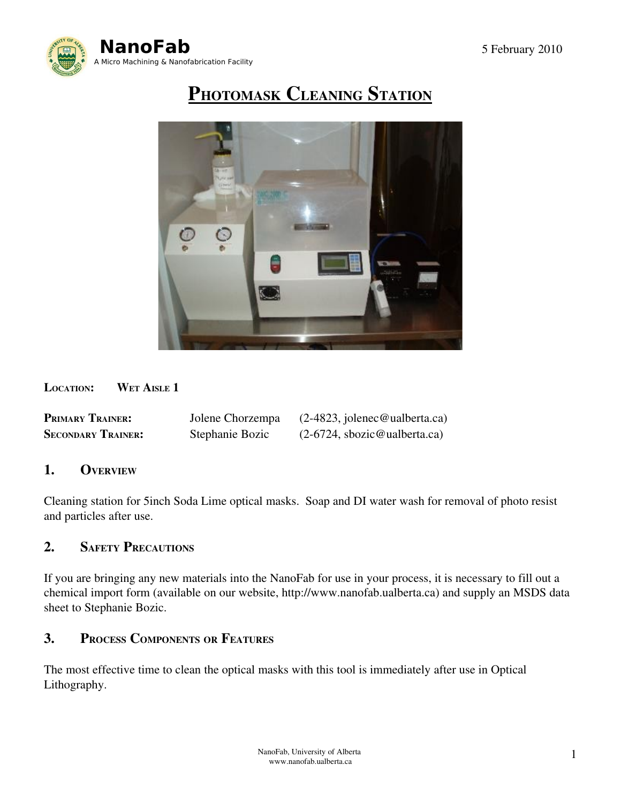

# PHOTOMASK CLEANING STATION



LOCATION: WET AISLE 1

| <b>PRIMARY TRAINER:</b>   | Jolene Chorzempa | $(2-4823,$ jolenec@ualberta.ca) |
|---------------------------|------------------|---------------------------------|
| <b>SECONDARY TRAINER:</b> | Stephanie Bozic  | $(2-6724,$ sbozic@ualberta.ca)  |

## 1. OVERVIEW

Cleaning station for 5inch Soda Lime optical masks. Soap and DI water wash for removal of photo resist and particles after use.

## 2. SAFETY PRECAUTIONS

If you are bringing any new materials into the NanoFab for use in your process, it is necessary to fill out a chemical import form (available on our website, http://www.nanofab.ualberta.ca) and supply an MSDS data sheet to Stephanie Bozic.

## 3. PROCESS COMPONENTS OR FEATURES

The most effective time to clean the optical masks with this tool is immediately after use in Optical Lithography.